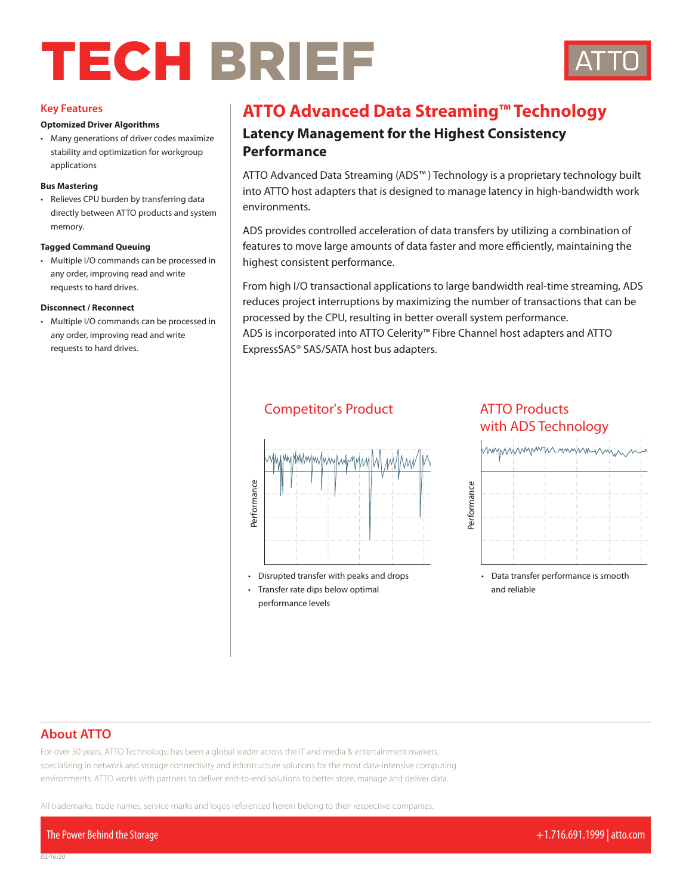# TECH BRIEF



#### **Key Features**

#### **Optomized Driver Algorithms**

• Many generations of driver codes maximize stability and optimization for workgroup applications

#### **Bus Mastering**

• Relieves CPU burden by transferring data directly between ATTO products and system memory.

#### **Tagged Command Queuing**

• Multiple I/O commands can be processed in any order, improving read and write requests to hard drives.

#### **Disconnect / Reconnect**

• Multiple I/O commands can be processed in any order, improving read and write requests to hard drives.

## **ATTO Advanced Data Streaming™ Technology**

## **Latency Management for the Highest Consistency Performance**

ATTO Advanced Data Streaming (ADS™ ) Technology is a proprietary technology built into ATTO host adapters that is designed to manage latency in high-bandwidth work environments.

features to move large amounts of data faster and more efficiently, maintaining the<br>highest consistent performance ADS provides controlled acceleration of data transfers by utilizing a combination of highest consistent performance.

processed by the CPU, resulting in better overall system performance. From high I/O transactional applications to large bandwidth real-time streaming, ADS reduces project interruptions by maximizing the number of transactions that can be

ADS is incorporated into ATTO Celerity™ Fibre Channel host adapters and ATTO ExpressSAS® SAS/SATA host bus adapters.



performance levels

## **Competitor's Product ATTO Products**<br>with ADS Tech with ADS Technology **ATTO Products with ADS™ Technology**



• Data transfer performance is smooth<br>and reliable and reliable

## **About ATTO**

For over 30 years, ATTO Technology, has been a global leader across the IT and media & entertainment markets, specializing in network and storage connectivity and infrastructure solutions for the most data-intensive computing environments. ATTO works with partners to deliver end-to-end solutions to better store, manage and deliver data.

All trademarks, trade names, service marks and logos referenced herein belong to their respective companies.

The Power Behind the Storage +1.716.691.1999 | atto.com